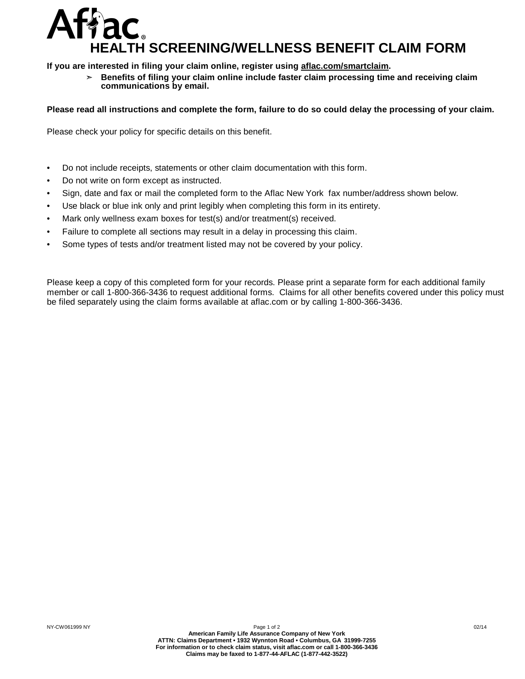## **HEALTH SCREENING/WELLNESS BENEFIT CLAIM FORM** Affac.

**If you are interested in filing your claim online, register using aflac.com/smartclaim.**

➣ **Benefits of filing your claim online include faster claim processing time and receiving claim communications by email.**

## Please read all instructions and complete the form, failure to do so could delay the processing of your claim.

Please check your policy for specific details on this benefit.

- Do not include receipts, statements or other claim documentation with this form.
- Do not write on form except as instructed.
- Sign, date and fax or mail the completed form to the Aflac New York fax number/address shown below.
- Use black or blue ink only and print legibly when completing this form in its entirety.
- Mark only wellness exam boxes for test(s) and/or treatment(s) received.
- Failure to complete all sections may result in a delay in processing this claim.
- Some types of tests and/or treatment listed may not be covered by your policy.

Please keep a copy of this completed form for your records. Please print a separate form for each additional family member or call 1-800-366-3436 to request additional forms. Claims for all other benefits covered under this policy must be filed separately using the claim forms available at aflac.com or by calling 1-800-366-3436.